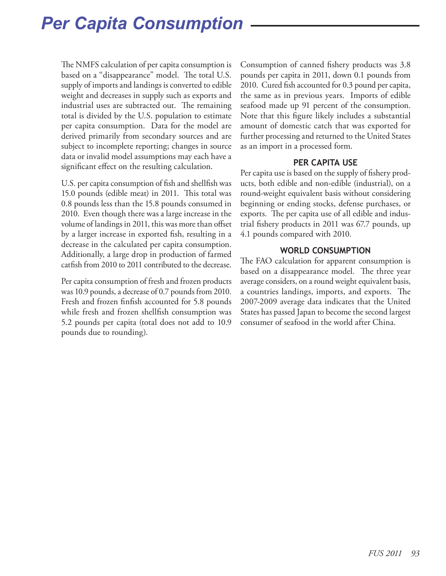The NMFS calculation of per capita consumption is based on a "disappearance" model. The total U.S. supply of imports and landings is converted to edible weight and decreases in supply such as exports and industrial uses are subtracted out. The remaining total is divided by the U.S. population to estimate per capita consumption. Data for the model are derived primarily from secondary sources and are subject to incomplete reporting; changes in source data or invalid model assumptions may each have a significant effect on the resulting calculation.

U.S. per capita consumption of fish and shellfish was 15.0 pounds (edible meat) in 2011. This total was 0.8 pounds less than the 15.8 pounds consumed in 2010. Even though there was a large increase in the volume of landings in 2011, this was more than offset by a larger increase in exported fish, resulting in a decrease in the calculated per capita consumption. Additionally, a large drop in production of farmed catfish from 2010 to 2011 contributed to the decrease.

Per capita consumption of fresh and frozen products was 10.9 pounds, a decrease of 0.7 pounds from 2010. Fresh and frozen finfish accounted for 5.8 pounds while fresh and frozen shellfish consumption was 5.2 pounds per capita (total does not add to 10.9 pounds due to rounding).

Consumption of canned fishery products was 3.8 pounds per capita in 2011, down 0.1 pounds from 2010. Cured fish accounted for 0.3 pound per capita, the same as in previous years. Imports of edible seafood made up 91 percent of the consumption. Note that this figure likely includes a substantial amount of domestic catch that was exported for further processing and returned to the United States as an import in a processed form.

### **PER CAPITA USE**

Per capita use is based on the supply of fishery products, both edible and non-edible (industrial), on a round-weight equivalent basis without considering beginning or ending stocks, defense purchases, or exports. The per capita use of all edible and industrial fishery products in 2011 was 67.7 pounds, up 4.1 pounds compared with 2010.

### **WORLD CONSUMPTION**

The FAO calculation for apparent consumption is based on a disappearance model. The three year average considers, on a round weight equivalent basis, a countries landings, imports, and exports. The 2007-2009 average data indicates that the United States has passed Japan to become the second largest consumer of seafood in the world after China.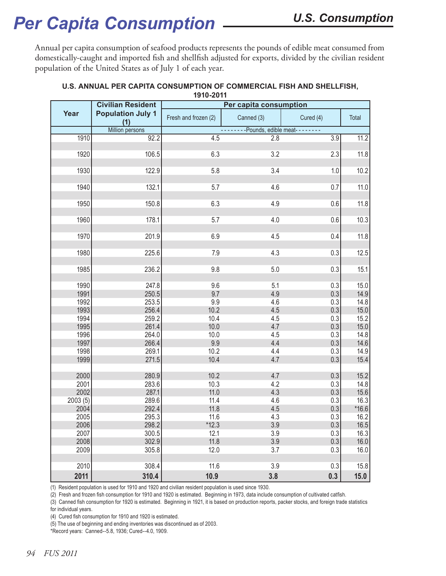Annual per capita consumption of seafood products represents the pounds of edible meat consumed from domestically-caught and imported fish and shellfish adjusted for exports, divided by the civilian resident population of the United States as of July 1 of each year.

|         | <b>Civilian Resident</b>        | Per capita consumption |                                     |           |         |
|---------|---------------------------------|------------------------|-------------------------------------|-----------|---------|
| Year    | <b>Population July 1</b><br>(1) | Fresh and frozen (2)   | Canned (3)                          | Cured (4) | Total   |
|         | Million persons                 |                        | --------Pounds, edible meat-------- |           |         |
| 1910    | 92.2                            | 4.5                    | 2.8                                 | 3.9       | 11.2    |
| 1920    | 106.5                           | 6.3                    | 3.2                                 | 2.3       | 11.8    |
|         |                                 |                        |                                     |           |         |
| 1930    | 122.9                           | 5.8                    | 3.4                                 | 1.0       | 10.2    |
| 1940    | 132.1                           | 5.7                    | 4.6                                 | 0.7       | 11.0    |
| 1950    | 150.8                           | 6.3                    | 4.9                                 | 0.6       | 11.8    |
| 1960    | 178.1                           | 5.7                    | 4.0                                 | 0.6       | 10.3    |
| 1970    | 201.9                           | 6.9                    | 4.5                                 | 0.4       | 11.8    |
|         |                                 |                        |                                     |           |         |
| 1980    | 225.6                           | 7.9                    | 4.3                                 | 0.3       | 12.5    |
| 1985    | 236.2                           | 9.8                    | 5.0                                 | 0.3       | 15.1    |
| 1990    | 247.8                           | 9.6                    | 5.1                                 | 0.3       | 15.0    |
| 1991    | 250.5                           | 9.7                    | 4.9                                 | 0.3       | 14.9    |
| 1992    | 253.5                           | 9.9                    | 4.6                                 | 0.3       | 14.8    |
| 1993    | 256.4                           | 10.2                   | 4.5                                 | 0.3       | 15.0    |
| 1994    | 259.2                           | 10.4                   | 4.5                                 | 0.3       | 15.2    |
| 1995    | 261.4                           | 10.0                   | 4.7                                 | 0.3       | 15.0    |
| 1996    | 264.0                           | 10.0                   | 4.5                                 | 0.3       | 14.8    |
| 1997    | 266.4                           | 9.9                    | 4.4                                 | 0.3       | 14.6    |
| 1998    | 269.1                           | 10.2                   | 4.4                                 | 0.3       | 14.9    |
| 1999    | 271.5                           | 10.4                   | 4.7                                 | 0.3       | 15.4    |
| 2000    | 280.9                           | 10.2                   | 4.7                                 | 0.3       | 15.2    |
| 2001    | 283.6                           | 10.3                   | 4.2                                 | 0.3       | 14.8    |
| 2002    | 287.1                           | 11.0                   | 4.3                                 | 0.3       | 15.6    |
| 2003(5) | 289.6                           | 11.4                   | 4.6                                 | 0.3       | 16.3    |
| 2004    | 292.4                           | 11.8                   | 4.5                                 | 0.3       | $*16.6$ |
| 2005    | 295.3                           | 11.6                   | 4.3                                 | 0.3       | 16.2    |
| 2006    | 298.2                           | $*12.3$                | 3.9                                 | 0.3       | 16.5    |
|         | 300.5                           |                        |                                     |           |         |
| 2007    |                                 | 12.1                   | 3.9                                 | 0.3       | 16.3    |
| 2008    | 302.9                           | 11.8                   | 3.9                                 | 0.3       | 16.0    |
| 2009    | 305.8                           | 12.0                   | 3.7                                 | 0.3       | 16.0    |
| 2010    | 308.4                           | 11.6                   | 3.9                                 | 0.3       | 15.8    |
| 2011    | 310.4                           | 10.9                   | 3.8                                 | 0.3       | 15.0    |

#### **U.S. ANNUAL PER CAPITA CONSUMPTION OF COMMERCIAL FISH AND SHELLFISH, 1910-2011**

(1) Resident population is used for 1910 and 1920 and civilian resident population is used since 1930.

(2) Fresh and frozen fish consumption for 1910 and 1920 is estimated. Beginning in 1973, data include consumption of cultivated catfish.

(3) Canned fish consumption for 1920 is estimated. Beginning in 1921, it is based on production reports, packer stocks, and foreign trade statistics for individual years.

(4) Cured fish consumption for 1910 and 1920 is estimated.

(5) The use of beginning and ending inventories was discontinued as of 2003.

\*Record years: Canned--5.8, 1936; Cured--4.0, 1909.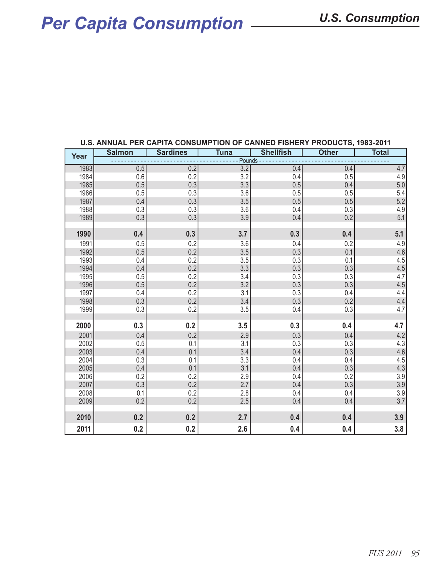# *Per Capita Consumption U.S. Consumption*

| Year | <b>Salmon</b> | <b>Sardines</b> | <b>Tuna</b> | <b>Shellfish</b> | <b>Other</b> | <b>Total</b> |  |
|------|---------------|-----------------|-------------|------------------|--------------|--------------|--|
|      | Pounds -      |                 |             |                  |              |              |  |
| 1983 | 0.5           | 0.2             | 3.2         | 0.4              | 0.4          | 4.7          |  |
| 1984 | 0.6           | 0.2             | 3.2         | 0.4              | 0.5          | 4.9          |  |
| 1985 | 0.5           | 0.3             | 3.3         | 0.5              | 0.4          | 5.0          |  |
| 1986 | 0.5           | 0.3             | 3.6         | 0.5              | 0.5          | 5.4          |  |
| 1987 | 0.4           | 0.3             | 3.5         | 0.5              | 0.5          | 5.2          |  |
| 1988 | 0.3           | 0.3             | 3.6         | 0.4              | 0.3          | 4.9          |  |
| 1989 | 0.3           | 0.3             | 3.9         | 0.4              | 0.2          | 5.1          |  |
|      |               |                 |             |                  |              |              |  |
| 1990 | 0.4           | 0.3             | 3.7         | 0.3              | 0.4          | 5.1          |  |
| 1991 | $0.5\,$       | 0.2             | 3.6         | 0.4              | 0.2          | 4.9          |  |
| 1992 | 0.5           | 0.2             | 3.5         | 0.3              | 0.1          | 4.6          |  |
| 1993 | 0.4           | 0.2             | 3.5         | 0.3              | 0.1          | 4.5          |  |
| 1994 | 0.4           | 0.2             | 3.3         | 0.3              | 0.3          | 4.5          |  |
| 1995 | 0.5           | 0.2             | 3.4         | 0.3              | 0.3          | 4.7          |  |
| 1996 | 0.5           | 0.2             | 3.2         | 0.3              | 0.3          | 4.5          |  |
| 1997 | 0.4           | 0.2             | 3.1         | 0.3              | 0.4          | 4.4          |  |
| 1998 | 0.3           | 0.2             | $3.4\,$     | 0.3              | 0.2          | 4.4          |  |
| 1999 | 0.3           | 0.2             | 3.5         | 0.4              | 0.3          | 4.7          |  |
|      |               |                 |             |                  |              |              |  |
| 2000 | 0.3           | 0.2             | 3.5         | 0.3              | 0.4          | 4.7          |  |
| 2001 | 0.4           | 0.2             | 2.9         | 0.3              | 0.4          | 4.2          |  |
| 2002 | 0.5           | 0.1             | 3.1         | 0.3              | 0.3          | 4.3          |  |
| 2003 | 0.4           | 0.1             | $3.4\,$     | 0.4              | 0.3          | 4.6          |  |
| 2004 | 0.3           | 0.1             | 3.3         | 0.4              | 0.4          | 4.5          |  |
| 2005 | 0.4           | 0.1             | 3.1         | 0.4              | 0.3          | 4.3          |  |
| 2006 | 0.2           | 0.2             | 2.9         | 0.4              | 0.2          | 3.9          |  |
| 2007 | 0.3           | 0.2             | 2.7         | 0.4              | 0.3          | 3.9          |  |
| 2008 | 0.1           | 0.2             | 2.8         | 0.4              | 0.4          | 3.9          |  |
| 2009 | 0.2           | 0.2             | 2.5         | 0.4              | 0.4          | 3.7          |  |
| 2010 | 0.2           | 0.2             | 2.7         | 0.4              | 0.4          | 3.9          |  |
|      |               |                 |             |                  |              |              |  |
| 2011 | 0.2           | 0.2             | 2.6         | 0.4              | 0.4          | 3.8          |  |

#### **U.S. ANNUAL PER CAPITA CONSUMPTION OF CANNED FISHERY PRODUCTS, 1983-2011**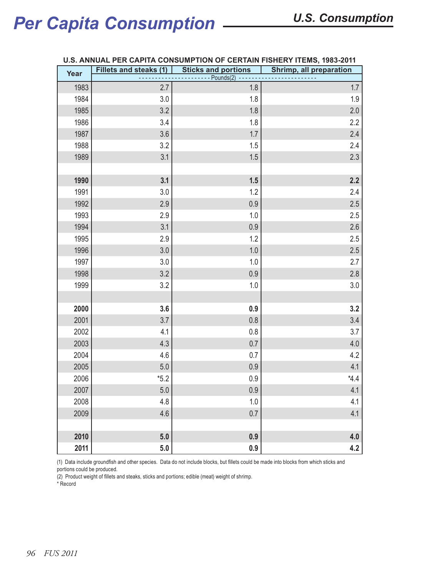| Year         | <b>Fillets and steaks (1)</b> | <b>Sticks and portions</b><br>$\sim$ . | <b>Shrimp, all preparation</b> |
|--------------|-------------------------------|----------------------------------------|--------------------------------|
| 1983         | 2.7                           | $---$ Pounds(2)<br>1.8                 | $1.7\,$                        |
| 1984         | 3.0                           | 1.8                                    | 1.9                            |
| 1985         | 3.2                           | 1.8                                    | 2.0                            |
| 1986         | 3.4                           | 1.8                                    | 2.2                            |
| 1987         | 3.6                           | 1.7                                    | 2.4                            |
| 1988         | 3.2                           | 1.5                                    | 2.4                            |
| 1989         | 3.1                           | 1.5                                    | 2.3                            |
|              |                               |                                        |                                |
| 1990         | 3.1                           | 1.5                                    | 2.2                            |
| 1991         | 3.0                           | 1.2                                    | 2.4                            |
| 1992         | 2.9                           | 0.9                                    | 2.5                            |
| 1993         | 2.9                           | 1.0                                    | 2.5                            |
| 1994         | 3.1                           | 0.9                                    | 2.6                            |
| 1995         | 2.9                           | 1.2                                    | 2.5                            |
| 1996         | 3.0                           | $1.0\,$                                | 2.5                            |
| 1997         | 3.0                           | 1.0                                    | 2.7                            |
| 1998         | 3.2                           | 0.9                                    | 2.8                            |
| 1999         | 3.2                           | $1.0$                                  | $3.0\,$                        |
|              |                               |                                        |                                |
| 2000         | 3.6                           | 0.9                                    | 3.2                            |
| 2001         | 3.7                           | $0.8\,$                                | 3.4                            |
| 2002         | 4.1                           | 0.8                                    | 3.7                            |
| 2003         | 4.3                           | 0.7                                    | $4.0\,$                        |
| 2004         | 4.6                           | 0.7                                    | 4.2                            |
| 2005<br>2006 | $5.0\,$<br>$*5.2$             | 0.9<br>0.9                             | 4.1<br>$*4.4$                  |
| 2007         | 5.0                           | $0.9\,$                                | 4.1                            |
| 2008         | 4.8                           | 1.0                                    | 4.1                            |
| 2009         | 4.6                           | 0.7                                    | 4.1                            |
|              |                               |                                        |                                |
| 2010         | 5.0                           | 0.9                                    | 4.0                            |
| 2011         | 5.0                           | 0.9                                    | 4.2                            |

#### **U.S. ANNUAL PER CAPITA CONSUMPTION OF CERTAIN FISHERY ITEMS, 1983-2011**

(1) Data include groundfish and other species. Data do not include blocks, but fillets could be made into blocks from which sticks and portions could be produced.

(2) Product weight of fillets and steaks, sticks and portions; edible (meat) weight of shrimp.

\* Record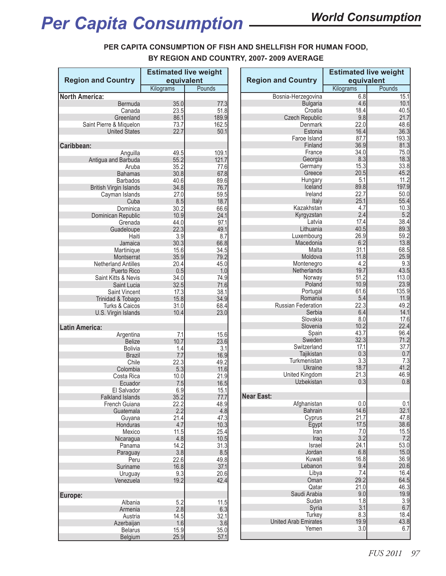### **PER CAPITA CONSUMPTION OF FISH AND SHELLFISH FOR HUMAN FOOD,**

**BY REGION AND COUNTRY, 2007- 2009 AVERAGE**

|                               | <b>Estimated live weight</b><br>equivalent<br>Pounds<br>Kilograms |              |                             | <b>Estimated live weight</b> |               |
|-------------------------------|-------------------------------------------------------------------|--------------|-----------------------------|------------------------------|---------------|
| <b>Region and Country</b>     |                                                                   |              | <b>Region and Country</b>   | equivalent                   |               |
|                               |                                                                   |              |                             | Kilograms                    | Pounds        |
| <b>North America:</b>         |                                                                   |              | Bosnia-Herzegovina          | 6.8                          | 15.1          |
| Bermuda                       | 35.0                                                              | 77.3         | <b>Bulgaria</b>             | 4.6                          | 10.1          |
| Canada                        | 23.5                                                              | 51.8         | Croatia                     | 18.4                         | 40.5          |
| Greenland                     | 86.1                                                              | 189.9        | <b>Czech Republic</b>       | 9.8                          | 21.7          |
| Saint Pierre & Miquelon       | 73.7                                                              | 162.5        | Denmark                     | 22.0                         | 48.6          |
| <b>United States</b>          | 22.7                                                              | 50.1         | Estonia                     | 16.4                         | 36.3          |
|                               |                                                                   |              | Faroe Island                | 87.7                         | 193.3         |
| Caribbean:                    |                                                                   |              | Finland                     | 36.9                         | 81.3          |
| Anguilla                      | 49.5                                                              | 109.1        | France                      | 34.0                         | 75.0          |
| Antigua and Barbuda           | 55.2                                                              | 121.7        | Georgia                     | 8.3                          | 18.3          |
| Aruba                         | 35.2                                                              | 77.6         | Germany                     | 15.3                         | 33.8          |
| <b>Bahamas</b>                | 30.8                                                              | 67.8         | Greece                      | 20.5                         | 45.2          |
| <b>Barbados</b>               | 40.6                                                              | 89.6         | Hungary                     | 5.1                          | 11.2<br>197.9 |
| <b>British Virgin Islands</b> | 34.8                                                              | 76.7         | Iceland                     | 89.8<br>22.7                 |               |
| Cayman Islands                | 27.0                                                              | 59.5         | Ireland                     | 25.1                         | 50.0<br>55.4  |
| Cuba                          | 8.5                                                               | 18.7         | Italy<br>Kazakhstan         | 4.7                          | 10.3          |
| Dominica                      | 30.2<br>10.9                                                      | 66.6<br>24.1 | Kyrgyzstan                  | 2.4                          | 5.2           |
| Dominican Republic<br>Grenada | 44.0                                                              | 97.1         | Latvia                      | 17.4                         | 38.4          |
| Guadeloupe                    | 22.3                                                              | 49.1         | Lithuania                   | 40.5                         | 89.3          |
| Haiti                         | 3.9                                                               | 8.7          | Luxembourg                  | 26.9                         | 59.2          |
| Jamaica                       | 30.3                                                              | 66.8         | Macedonia                   | 6.2                          | 13.8          |
| Martinique                    | 15.6                                                              | 34.5         | Malta                       | 31.1                         | 68.5          |
| Montserrat                    | 35.9                                                              | 79.2         | Moldova                     | 11.8                         | 25.9          |
| <b>Netherland Antilles</b>    | 20.4                                                              | 45.0         | Montenegro                  | 4.2                          | 9.3           |
| <b>Puerto Rico</b>            | 0.5                                                               | 1.0          | Netherlands                 | 19.7                         | 43.5          |
| Saint Kitts & Nevis           | 34.0                                                              | 74.9         | Norway                      | 51.2                         | 113.0         |
| Saint Lucia                   | 32.5                                                              | 71.6         | Poland                      | 10.9                         | 23.9          |
| <b>Saint Vincent</b>          | 17.3                                                              | 38.1         | Portugal                    | 61.6                         | 135.9         |
| Trinidad & Tobago             | 15.8                                                              | 34.9         | Romania                     | 5.4                          | 11.9          |
| Turks & Caicos                | 31.0                                                              | 68.4         | Russian Federation          | 22.3                         | 49.2          |
| U.S. Virgin Islands           | 10.4                                                              | 23.0         | Serbia                      | 6.4                          | 14.1          |
|                               |                                                                   |              | Slovakia                    | 8.0                          | 17.6          |
| <b>Latin America:</b>         |                                                                   |              | Slovenia                    | 10.2                         | 22.4          |
| Argentina                     | 7.1                                                               | 15.6         | Spain                       | 43.7                         | 96.4          |
| <b>Belize</b>                 | 10.7                                                              | 23.6         | Sweden                      | 32.3                         | 71.2          |
| <b>Bolivia</b>                | 1.4                                                               | 3.1          | Switzerland                 | 17.1                         | 37.7          |
| <b>Brazil</b>                 | 7.7                                                               | 16.9         | Tajikistan                  | 0.3                          | 0.7           |
| Chile                         | 22.3                                                              | 49.2         | Turkmenistan                | 3.3                          | 7.3           |
| Colombia                      | 5.3                                                               | 11.6         | Ukraine                     | 18.7                         | 41.2          |
| Costa Rica                    | 10.0                                                              | 21.9         | United Kingdom              | 21.3                         | 46.9          |
| Ecuador                       | 7.5                                                               | 16.5         | Uzbekistan                  | 0.3                          | 0.8           |
| El Salvador                   | 6.9                                                               | 15.1         |                             |                              |               |
| <b>Falkland Islands</b>       | 35.2                                                              | 77.7         | Near East:                  |                              |               |
| French Guiana                 | 22.2                                                              | 48.9         | Afghanistan                 | 0.0<br>14.6                  | 0.1<br>32.1   |
| Guatemala                     | 2.2                                                               | 4.8          | <b>Bahrain</b>              | 21.7                         |               |
| Guyana<br>Honduras            | 21.4<br>4.7                                                       | 47.3<br>10.3 | Cyprus<br>Egypt             | 17.5                         | 47.8<br>38.6  |
| Mexico                        | 11.5                                                              | 25.4         | Iran                        | 7.0                          | 15.5          |
| Nicaragua                     | 4.8                                                               | 10.5         | Iraq                        | 3.2                          | 7.2           |
| Panama                        | 14.2                                                              | 31.3         | Israel                      | 24.1                         | 53.0          |
| Paraguay                      | 3.8                                                               | 8.5          | Jordan                      | 6.8                          | 15.0          |
| Peru                          | 22.6                                                              | 49.8         | Kuwait                      | 16.8                         | 36.9          |
| Suriname                      | 16.8                                                              | 37.1         | Lebanon                     | 9.4                          | 20.6          |
| Uruguay                       | 9.3                                                               | 20.6         | Libya                       | 7.4                          | 16.4          |
| Venezuela                     | 19.2                                                              | 42.4         | Oman                        | 29.2                         | 64.5          |
|                               |                                                                   |              | Qatar                       | 21.0                         | 46.3          |
| Europe:                       |                                                                   |              | Saudi Arabia                | 9.0                          | 19.9          |
| Albania                       | 5.2                                                               | 11.5         | Sudan                       | 1.8                          | 3.9           |
| Armenia                       | 2.8                                                               | 6.3          | Syria                       | 3.1                          | 6.7           |
| Austria                       | 14.5                                                              | 32.1         | Turkey                      | 8.3                          | 18.4          |
| Azerbaijan                    | 1.6                                                               | 3.6          | <b>United Arab Emirates</b> | 19.9                         | 43.8          |
| <b>Belarus</b>                | 15.9                                                              | 35.0         | Yemen                       | 3.0                          | 6.7           |
| Belgium                       | 25.9                                                              | 57.1         |                             |                              |               |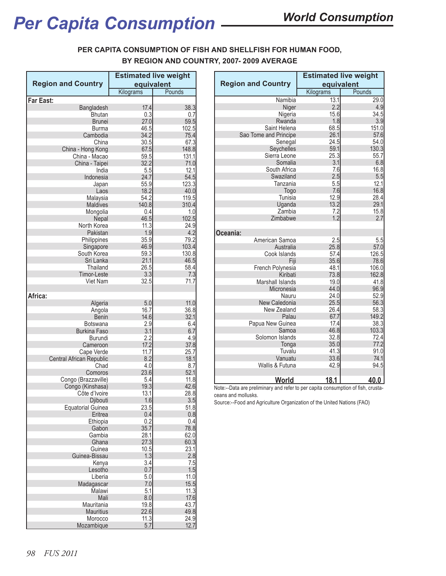### **PER CAPITA CONSUMPTION OF FISH AND SHELLFISH FOR HUMAN FOOD, BY REGION AND COUNTRY, 2007- 2009 AVERAGE**

|                                               | <b>Estimated live weight</b> |              |  |  |
|-----------------------------------------------|------------------------------|--------------|--|--|
| <b>Region and Country</b>                     | equivalent                   |              |  |  |
|                                               | Kilograms                    | Pounds       |  |  |
| <b>Far East:</b><br>Bangladesh                | 17.4                         | 38.3         |  |  |
| <b>Bhutan</b>                                 | 0.3                          | 0.7          |  |  |
| <b>Brunei</b>                                 | 27.0                         | 59.5         |  |  |
| Burma                                         | 46.5                         | 102.5        |  |  |
| Cambodia                                      | 34.2                         | 75.4         |  |  |
| China                                         | 30.5                         | 67.3         |  |  |
| China - Hong Kong                             | 67.5                         | 148.8        |  |  |
| China - Macao                                 | 59.5                         | 131.1        |  |  |
| China - Taipei                                | 32.2                         | 71.0<br>12.1 |  |  |
| India<br>Indonesia                            | 5.5<br>24.7                  | 54.5         |  |  |
| Japan                                         | 55.9                         | 123.3        |  |  |
| Laos                                          | 18.2                         | 40.0         |  |  |
| Malaysia                                      | 54.2                         | 119.5        |  |  |
| Maldives                                      | 140.8                        | 310.4        |  |  |
| Mongolia                                      | 0.4                          | 1.0          |  |  |
| Nepal                                         | 46.5                         | 102.5        |  |  |
| North Korea                                   | 11.3                         | 24.9         |  |  |
| Pakistan                                      | 1.9                          | 4.2          |  |  |
| Philippines                                   | 35.9                         | 79.2         |  |  |
| Singapore                                     | 46.9                         | 103.4        |  |  |
| South Korea                                   | 59.3                         | 130.8        |  |  |
| Sri Lanka<br>Thailand                         | 21.1<br>26.5                 | 46.5<br>58.4 |  |  |
| <b>Timor-Leste</b>                            | 3.3                          | 7.3          |  |  |
| Viet Nam                                      | 32.5                         | 71.7         |  |  |
|                                               |                              |              |  |  |
| Africa:                                       |                              |              |  |  |
| Algeria                                       | 5.0                          | 11.0         |  |  |
| Angola                                        | 16.7                         | 36.8         |  |  |
| <b>Benin</b>                                  | 14.6                         | 32.1         |  |  |
| <b>Botswana</b>                               | 2.9                          | 6.4          |  |  |
| <b>Burkina Faso</b>                           | 3.1                          | 6.7          |  |  |
| Burundi                                       | 2.2                          | 4.9          |  |  |
| Cameroon                                      | 17.2<br>11.7                 | 37.8<br>25.7 |  |  |
| Cape Verde<br><b>Central African Republic</b> | 8.2                          | 18.1         |  |  |
| Chad                                          | 4.0                          | 8.7          |  |  |
| Comoros                                       | 23.6                         | 52.1         |  |  |
| Congo (Brazzaville)                           | 5.4                          | 11.8         |  |  |
| Congo (Kinshasa)                              | 19.3                         | 42.6         |  |  |
| Côte d'Ivoire                                 | 13.1                         | 28.8         |  |  |
| Djibouti                                      | 1.6                          | 3.5          |  |  |
| Equatorial Guinea                             | 23.5                         | 51.8         |  |  |
| Eritrea                                       | 0.4                          | 0.8          |  |  |
| Ethiopia                                      | 0.2                          | 0.4          |  |  |
| Gabon<br>Gambia                               | 35.7<br>28.1                 | 78.8<br>62.0 |  |  |
| Ghana                                         | 27.3                         | 60.3         |  |  |
| Guinea                                        | 10.5                         | 23.1         |  |  |
| Guinea-Bissau                                 | 1.3                          | 2.8          |  |  |
| Kenya                                         | 3.4                          | 7.5          |  |  |
| Lesotho                                       | 0.7                          | 1.5          |  |  |
| Liberia                                       | 5.0                          | 11.0         |  |  |
| Madagascar                                    | 7.0                          | 15.5         |  |  |
| Malawi                                        | 5.1                          | 11.3         |  |  |
| Mali                                          | 8.0                          | 17.6         |  |  |
| Mauritania                                    | 19.8                         | 43.7         |  |  |
| <b>Mauritius</b>                              | 22.6                         | 49.8         |  |  |
| Morocco                                       | 11.3                         | 24.9         |  |  |
| Mozambique                                    | 5.7                          | 12.7         |  |  |

|                           | <b>Estimated live weight</b> |             |  |
|---------------------------|------------------------------|-------------|--|
| <b>Region and Country</b> | equivalent                   |             |  |
|                           | Kilograms                    | Pounds      |  |
| Namibia                   | 13.1                         | 29.0        |  |
| Niger                     | 2.2                          | 4.9         |  |
| Nigeria                   | 15.6                         | 34.5        |  |
| Rwanda                    | 1.8                          | 3.9         |  |
| Saint Helena              | 68.5                         | 151.0       |  |
| Sao Tome and Principe     | 26.1                         | 57.6        |  |
| Senegal                   | 24.5                         | 54.0        |  |
| Seychelles                | 59.1                         | 130.3       |  |
| Sierra Leone              | 25.3                         | 55.7        |  |
| Somalia                   | 3.1                          | 6.8         |  |
| South Africa<br>Swaziland | 7.6<br>2.5                   | 16.8        |  |
| Tanzania                  | 5.5                          | 5.5<br>12.1 |  |
| Togo                      | 7.6                          | 16.8        |  |
| Tunisia                   | 12.9                         | 28.4        |  |
| Uganda                    | 13.2                         | 29.1        |  |
| Zambia                    | 7.2                          | 15.8        |  |
| Zimbabwe                  | 1.2                          | 2.7         |  |
|                           |                              |             |  |
| Oceania:                  |                              |             |  |
| American Samoa            | 2.5                          | 5.5         |  |
| Australia                 | 25.8                         | 57.0        |  |
| Cook Islands              | 57.4                         | 126.5       |  |
| Fiji                      | 35.6                         | 78.6        |  |
| French Polynesia          | 48.1                         | 106.0       |  |
| Kiribati                  | 73.8                         | 162.8       |  |
| Marshall Islands          | 19.0                         | 41.8        |  |
| Micronesia                | 44.0                         | 96.9        |  |
| Nauru                     | 24.0                         | 52.9        |  |
| New Caledonia             | 25.5                         | 56.3        |  |
| New Zealand               | 26.4                         | 58.3        |  |
| Palau                     | 67.7                         | 149.2       |  |
| Papua New Guinea          | 17.4                         | 38.3        |  |
| Samoa                     | 46.8                         | 103.3       |  |
| Solomon Islands           | 32.8                         | 72.4        |  |
| Tonga                     | 35.0                         | 77.2        |  |
| Tuvalu                    | 41.3                         | 91.0        |  |
| Vanuatu                   | 33.6                         | 74.1        |  |
| Wallis & Futuna           | 42.9                         | 94.5        |  |
|                           |                              |             |  |
| <u>World</u>              | 18.1                         | 40.0        |  |

Note:--Data are preliminary and refer to per capita consumption of fish, crustaceans and mollusks.

Source:--Food and Agriculture Organization of the United Nations (FAO)